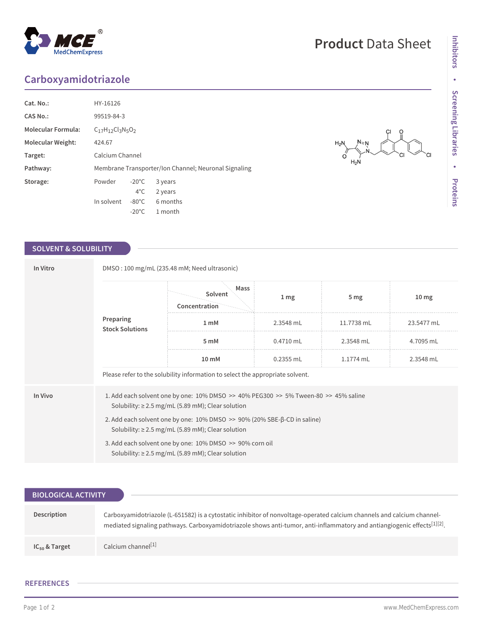## **Carboxyamidotriazole**

| Cat. No.:                 | HY-16126                                             |                 |          |  |  |  |
|---------------------------|------------------------------------------------------|-----------------|----------|--|--|--|
| <b>CAS No.:</b>           | 99519-84-3                                           |                 |          |  |  |  |
| <b>Molecular Formula:</b> | $C_{17}H_{12}Cl_{3}N_{5}O_{2}$                       |                 |          |  |  |  |
| <b>Molecular Weight:</b>  | 424.67                                               |                 |          |  |  |  |
| Target:                   | Calcium Channel                                      |                 |          |  |  |  |
| Pathway:                  | Membrane Transporter/Ion Channel; Neuronal Signaling |                 |          |  |  |  |
| Storage:                  | Powder                                               | $-20^{\circ}$ C | 3 years  |  |  |  |
|                           |                                                      | $4^{\circ}$ C   | 2 years  |  |  |  |
|                           | In solvent                                           | $-80^{\circ}$ C | 6 months |  |  |  |
|                           |                                                      | $-20^{\circ}$ C | 1 month  |  |  |  |

### **SOLVENT & SOLUBILITY**

| In Vitro | DMSO: 100 mg/mL (235.48 mM; Need ultrasonic)                                                                                                     |                                  |                 |                 |                  |  |  |
|----------|--------------------------------------------------------------------------------------------------------------------------------------------------|----------------------------------|-----------------|-----------------|------------------|--|--|
|          | Preparing<br><b>Stock Solutions</b>                                                                                                              | Mass<br>Solvent<br>Concentration | 1 <sub>mg</sub> | 5 <sub>mg</sub> | 10 <sub>mg</sub> |  |  |
|          |                                                                                                                                                  | 1 <sub>m</sub> M                 | 2.3548 mL       | 11.7738 mL      | 23.5477 mL       |  |  |
|          |                                                                                                                                                  | 5 mM                             | $0.4710$ mL     | 2.3548 mL       | 4.7095 mL        |  |  |
|          |                                                                                                                                                  | 10 mM                            | 0.2355 mL       | 1.1774 mL       | 2.3548 mL        |  |  |
|          | Please refer to the solubility information to select the appropriate solvent.                                                                    |                                  |                 |                 |                  |  |  |
| In Vivo  | 1. Add each solvent one by one: 10% DMSO >> 40% PEG300 >> 5% Tween-80 >> 45% saline<br>Solubility: $\geq$ 2.5 mg/mL (5.89 mM); Clear solution    |                                  |                 |                 |                  |  |  |
|          | 2. Add each solvent one by one: $10\%$ DMSO $\gg$ 90% (20% SBE- $\beta$ -CD in saline)<br>Solubility: $\geq$ 2.5 mg/mL (5.89 mM); Clear solution |                                  |                 |                 |                  |  |  |
|          | 3. Add each solvent one by one: 10% DMSO >> 90% corn oil<br>Solubility: $\geq$ 2.5 mg/mL (5.89 mM); Clear solution                               |                                  |                 |                 |                  |  |  |

| <b>BIOLOGICAL ACTIVITY</b> ' |                                                                                                                                                                                                                                                   |
|------------------------------|---------------------------------------------------------------------------------------------------------------------------------------------------------------------------------------------------------------------------------------------------|
|                              |                                                                                                                                                                                                                                                   |
| Description                  | Carboxyamidotriazole (L-651582) is a cytostatic inhibitor of nonvoltage-operated calcium channels and calcium channel-<br>mediated signaling pathways. Carboxyamidotriazole shows anti-tumor, anti-inflammatory and antiangiogenic effects[1][2]. |
| $IC_{50}$ & Target           | Calcium channel <sup>[1]</sup>                                                                                                                                                                                                                    |

#### **REFERENCES**

# **Product** Data Sheet

 $H_2$ 

 $H_2N$ 

СI